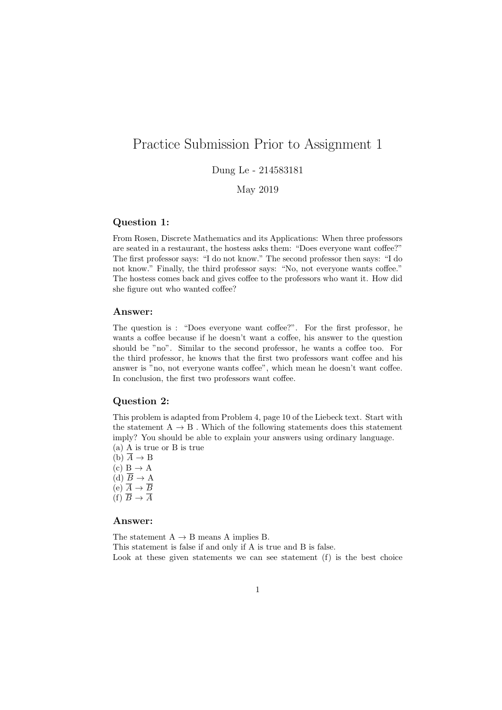# Practice Submission Prior to Assignment 1

# Dung Le - 214583181

May 2019

#### Question 1:

From Rosen, Discrete Mathematics and its Applications: When three professors are seated in a restaurant, the hostess asks them: "Does everyone want coffee?" The first professor says: "I do not know." The second professor then says: "I do not know." Finally, the third professor says: "No, not everyone wants coffee." The hostess comes back and gives coffee to the professors who want it. How did she figure out who wanted coffee?

#### Answer:

The question is : "Does everyone want coffee?". For the first professor, he wants a coffee because if he doesn't want a coffee, his answer to the question should be "no". Similar to the second professor, he wants a coffee too. For the third professor, he knows that the first two professors want coffee and his answer is "no, not everyone wants coffee", which mean he doesn't want coffee. In conclusion, the first two professors want coffee.

### Question 2:

This problem is adapted from Problem 4, page 10 of the Liebeck text. Start with the statement  $A \rightarrow B$ . Which of the following statements does this statement imply? You should be able to explain your answers using ordinary language.

- (a) A is true or B is true
- $(b)$   $\overline{A} \rightarrow B$  $(c)$  B  $\rightarrow$  A  $\overrightarrow{d}$   $\overline{B}$   $\rightarrow$  A
- (e)  $\overline{A} \rightarrow \overline{B}$
- $(f) \overline{B} \rightarrow \overline{A}$
- 

## Answer:

The statement  $A \rightarrow B$  means A implies B. This statement is false if and only if A is true and B is false. Look at these given statements we can see statement (f) is the best choice